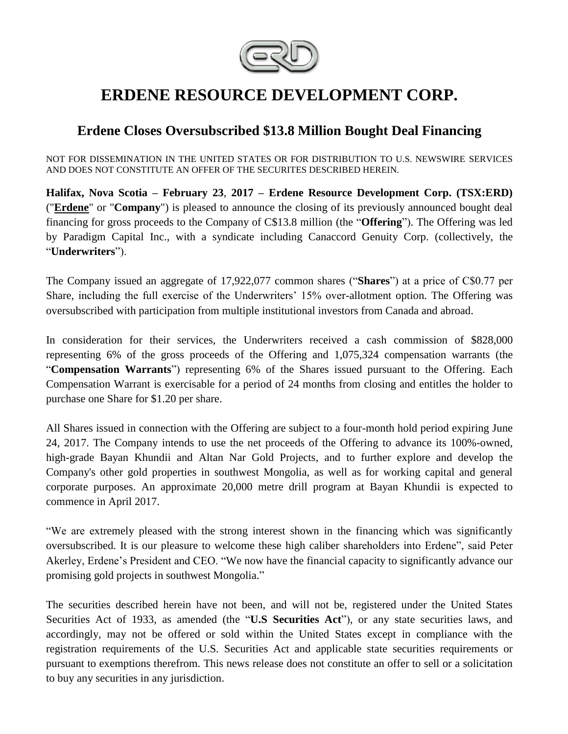

# **ERDENE RESOURCE DEVELOPMENT CORP.**

## **Erdene Closes Oversubscribed \$13.8 Million Bought Deal Financing**

NOT FOR DISSEMINATION IN THE UNITED STATES OR FOR DISTRIBUTION TO U.S. NEWSWIRE SERVICES AND DOES NOT CONSTITUTE AN OFFER OF THE SECURITES DESCRIBED HEREIN.

**Halifax, Nova Scotia – February 23**, **2017 – Erdene Resource Development Corp. (TSX:ERD)**  ("**[Erdene](http://www.erdene.com/)**" or "**Company**") is pleased to announce the closing of its previously announced bought deal financing for gross proceeds to the Company of C\$13.8 million (the "**Offering**"). The Offering was led by Paradigm Capital Inc., with a syndicate including Canaccord Genuity Corp. (collectively, the "**Underwriters**").

The Company issued an aggregate of 17,922,077 common shares ("**Shares**") at a price of C\$0.77 per Share, including the full exercise of the Underwriters' 15% over-allotment option. The Offering was oversubscribed with participation from multiple institutional investors from Canada and abroad.

In consideration for their services, the Underwriters received a cash commission of \$828,000 representing 6% of the gross proceeds of the Offering and 1,075,324 compensation warrants (the "**Compensation Warrants**") representing 6% of the Shares issued pursuant to the Offering. Each Compensation Warrant is exercisable for a period of 24 months from closing and entitles the holder to purchase one Share for \$1.20 per share.

All Shares issued in connection with the Offering are subject to a four-month hold period expiring June 24, 2017. The Company intends to use the net proceeds of the Offering to advance its 100%-owned, high-grade Bayan Khundii and Altan Nar Gold Projects, and to further explore and develop the Company's other gold properties in southwest Mongolia, as well as for working capital and general corporate purposes. An approximate 20,000 metre drill program at Bayan Khundii is expected to commence in April 2017.

"We are extremely pleased with the strong interest shown in the financing which was significantly oversubscribed. It is our pleasure to welcome these high caliber shareholders into Erdene", said Peter Akerley, Erdene's President and CEO. "We now have the financial capacity to significantly advance our promising gold projects in southwest Mongolia."

The securities described herein have not been, and will not be, registered under the United States Securities Act of 1933, as amended (the "**U.S Securities Act**"), or any state securities laws, and accordingly, may not be offered or sold within the United States except in compliance with the registration requirements of the U.S. Securities Act and applicable state securities requirements or pursuant to exemptions therefrom. This news release does not constitute an offer to sell or a solicitation to buy any securities in any jurisdiction.